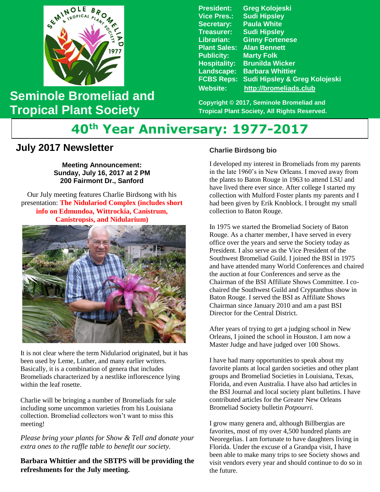

## **Seminole Bromeliad and Tropical Plant Society**

**President: Greg Kolojeski Vice Pres.: Sudi Hipsley Secretary: Paula White Treasurer: Sudi Hipsley Librarian: Ginny Fortenese Plant Sales: Alan Bennett Marty Folk Hospitality: Brunilda Wicker Landscape: Barbara Whittier FCBS Reps: Sudi Hipsley & Greg Kolojeski Website: [http://bromeliads.club](http://bromeliads.club/)**

**Copyright © 2017, Seminole Bromeliad and Tropical Plant Society, All Rights Reserved.**

# **40th Year Anniversary: 1977-2017**

### **July 2017 Newsletter**

**Meeting Announcement: Sunday, July 16, 2017 at 2 PM 200 Fairmont Dr., Sanford**

 presentation: **The Nidulariod Complex (includes short**  Our July meeting features Charlie Birdsong with his **info on Edmundoa, Wittrockia, Canistrum, Canistropsis, and Nidularium)**



 It is not clear where the term Nidulariod originated, but it has been used by Leme, Luther, and many earlier writers. Basically, it is a combination of genera that includes Bromeliads characterized by a nestlike inflorescence lying within the leaf rosette.

Charlie will be bringing a number of Bromeliads for sale including some uncommon varieties from his Louisiana collection. Bromeliad collectors won't want to miss this meeting!

*Please bring your plants for Show & Tell and donate your extra ones to the raffle table to benefit our society.*

**Barbara Whittier and the SBTPS will be providing the refreshments for the July meeting.**

#### **Charlie Birdsong bio**

I developed my interest in Bromeliads from my parents in the late 1960's in New Orleans. I moved away from the plants to Baton Rouge in 1963 to attend LSU and have lived there ever since. After college I started my collection with Mulford Foster plants my parents and I had been given by Erik Knoblock. I brought my small collection to Baton Rouge.

In 1975 we started the Bromeliad Society of Baton Rouge. As a charter member, I have served in every office over the years and serve the Society today as President. I also serve as the Vice President of the Southwest Bromeliad Guild. I joined the BSI in 1975 and have attended many World Conferences and chaired the auction at four Conferences and serve as the Chairman of the BSI Affiliate Shows Committee. I cochaired the Southwest Guild and Cryptanthus show in Baton Rouge. I served the BSI as Affiliate Shows Chairman since January 2010 and am a past BSI Director for the Central District.

After years of trying to get a judging school in New Orleans, I joined the school in Houston. I am now a Master Judge and have judged over 100 Shows.

I have had many opportunities to speak about my favorite plants at local garden societies and other plant groups and Bromeliad Societies in Louisiana, Texas, Florida, and even Australia. I have also had articles in the BSI Journal and local society plant bulletins. I have contributed articles for the Greater New Orleans Bromeliad Society bulletin *Potpourri.*

I grow many genera and, although Billbergias are favorites, most of my over 4,500 hundred plants are Neoregelias. I am fortunate to have daughters living in Florida. Under the excuse of a Grandpa visit, I have been able to make many trips to see Society shows and visit vendors every year and should continue to do so in the future.